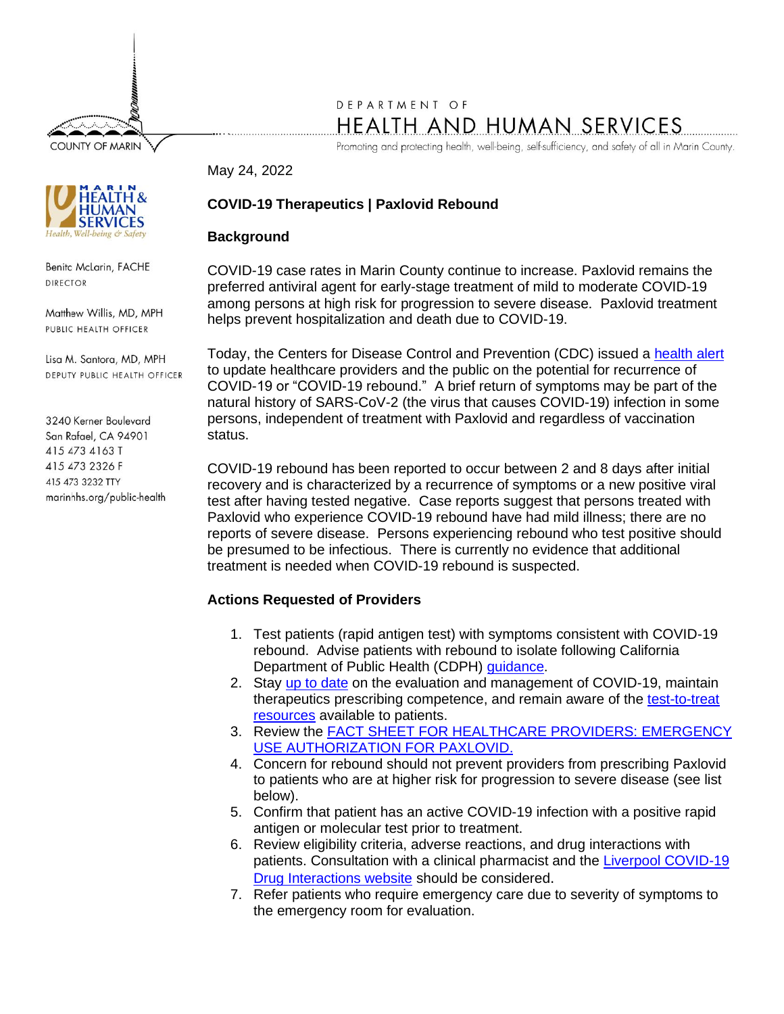**COUNTY OF MARIN** 

# DEPARTMENT OF HEALTH AND HUMAN SERVICES

Promoting and protecting health, well-being, self-sufficiency, and safety of all in Marin County.

### May 24, 2022

# **COVID-19 Therapeutics | Paxlovid Rebound**

#### **Background**

COVID-19 case rates in Marin County continue to increase. Paxlovid remains the preferred antiviral agent for early-stage treatment of mild to moderate COVID-19 among persons at high risk for progression to severe disease. Paxlovid treatment helps prevent hospitalization and death due to COVID-19.

Today, the Centers for Disease Control and Prevention (CDC) issued a [health alert](https://emergency.cdc.gov/han/2022/pdf/CDC_HAN_467.pdf) to update healthcare providers and the public on the potential for recurrence of COVID-19 or "COVID-19 rebound." A brief return of symptoms may be part of the natural history of SARS-CoV-2 (the virus that causes COVID-19) infection in some persons, independent of treatment with Paxlovid and regardless of vaccination status.

COVID-19 rebound has been reported to occur between 2 and 8 days after initial recovery and is characterized by a recurrence of symptoms or a new positive viral test after having tested negative. Case reports suggest that persons treated with Paxlovid who experience COVID-19 rebound have had mild illness; there are no reports of severe disease. Persons experiencing rebound who test positive should be presumed to be infectious. There is currently no evidence that additional treatment is needed when COVID-19 rebound is suspected.

# **Actions Requested of Providers**

- 1. Test patients (rapid antigen test) with symptoms consistent with COVID-19 rebound. Advise patients with rebound to isolate following California Department of Public Health (CDPH) *guidance*.
- 2. Stay [up to date](https://www.uptodate.com/contents/covid-19-outpatient-evaluation-and-management-of-acute-illness-in-adults) on the evaluation and management of COVID-19, maintain therapeutics prescribing competence, and remain aware of the [test-to-treat](https://coronavirus.marinhhs.org/TestToTreat)  [resources](https://coronavirus.marinhhs.org/TestToTreat) available to patients.
- 3. Review the [FACT SHEET FOR HEALTHCARE PROVIDERS: EMERGENCY](https://www.fda.gov/media/155050/download)  [USE AUTHORIZATION FOR PAXLOVID.](https://www.fda.gov/media/155050/download)
- 4. Concern for rebound should not prevent providers from prescribing Paxlovid to patients who are at higher risk for progression to severe disease (see list below).
- 5. Confirm that patient has an active COVID-19 infection with a positive rapid antigen or molecular test prior to treatment.
- 6. Review eligibility criteria, adverse reactions, and drug interactions with patients. Consultation with a clinical pharmacist and the Liverpool COVID-19 [Drug Interactions website](https://www.covid19-druginteractions.org/) should be considered.
- 7. Refer patients who require emergency care due to severity of symptoms to the emergency room for evaluation.



Benita McLarin, FACHE **DIRECTOR** 

Matthew Willis, MD, MPH PUBLIC HEALTH OFFICER

Lisa M. Santora, MD, MPH DEPUTY PUBLIC HEALTH OFFICER

3240 Kerner Boulevard San Rafael, CA 94901 415 473 4163 T 415 473 2326 F 415 473 3232 TTY marinhhs.org/public-health